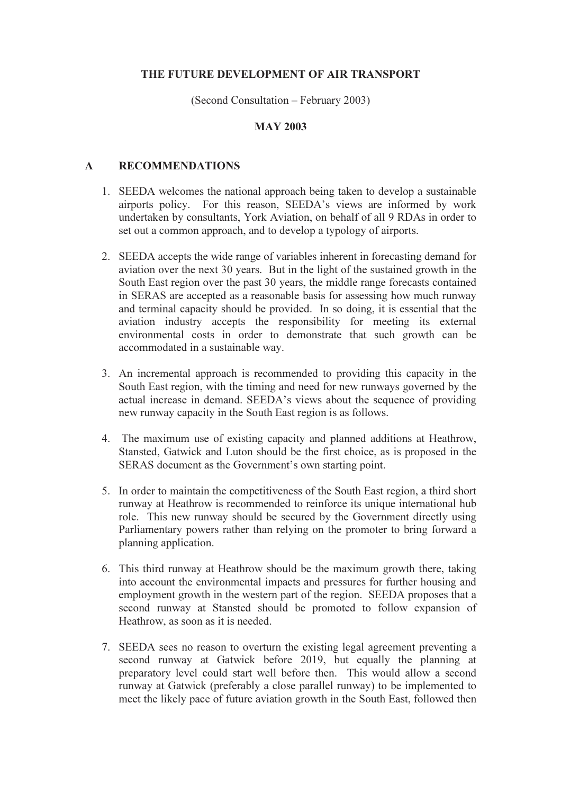## THE FUTURE DEVELOPMENT OF AIR TRANSPORT

(Second Consultation – February 2003)

## MAY 2003

## A RECOMMENDATIONS

- 1. SEEDA welcomes the national approach being taken to develop a sustainable airports policy. For this reason, SEEDA's views are informed by work undertaken by consultants, York Aviation, on behalf of all 9 RDAs in order to set out a common approach, and to develop a typology of airports.
- 2. SEEDA accepts the wide range of variables inherent in forecasting demand for aviation over the next 30 years. But in the light of the sustained growth in the South East region over the past 30 years, the middle range forecasts contained in SERAS are accepted as a reasonable basis for assessing how much runway and terminal capacity should be provided. In so doing, it is essential that the aviation industry accepts the responsibility for meeting its external environmental costs in order to demonstrate that such growth can be accommodated in a sustainable way.
- 3. An incremental approach is recommended to providing this capacity in the South East region, with the timing and need for new runways governed by the actual increase in demand. SEEDA's views about the sequence of providing new runway capacity in the South East region is as follows.
- 4. The maximum use of existing capacity and planned additions at Heathrow, Stansted, Gatwick and Luton should be the first choice, as is proposed in the SERAS document as the Government's own starting point.
- 5. In order to maintain the competitiveness of the South East region, a third short runway at Heathrow is recommended to reinforce its unique international hub role. This new runway should be secured by the Government directly using Parliamentary powers rather than relying on the promoter to bring forward a planning application.
- 6. This third runway at Heathrow should be the maximum growth there, taking into account the environmental impacts and pressures for further housing and employment growth in the western part of the region. SEEDA proposes that a second runway at Stansted should be promoted to follow expansion of Heathrow, as soon as it is needed.
- 7. SEEDA sees no reason to overturn the existing legal agreement preventing a second runway at Gatwick before 2019, but equally the planning at preparatory level could start well before then. This would allow a second runway at Gatwick (preferably a close parallel runway) to be implemented to meet the likely pace of future aviation growth in the South East, followed then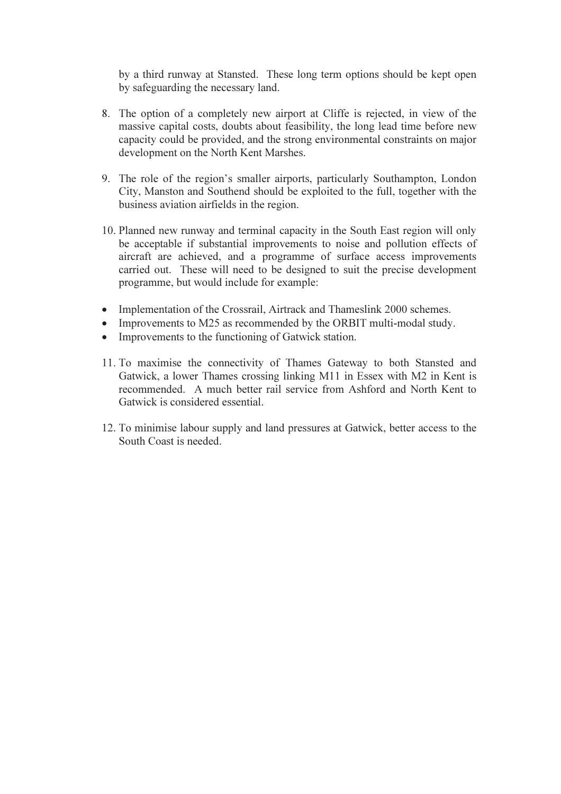by a third runway at Stansted. These long term options should be kept open by safeguarding the necessary land.

- 8. The option of a completely new airport at Cliffe is rejected, in view of the massive capital costs, doubts about feasibility, the long lead time before new capacity could be provided, and the strong environmental constraints on major development on the North Kent Marshes.
- 9. The role of the region's smaller airports, particularly Southampton, London City, Manston and Southend should be exploited to the full, together with the business aviation airfields in the region.
- 10. Planned new runway and terminal capacity in the South East region will only be acceptable if substantial improvements to noise and pollution effects of aircraft are achieved, and a programme of surface access improvements carried out. These will need to be designed to suit the precise development programme, but would include for example:
- Implementation of the Crossrail, Airtrack and Thameslink 2000 schemes.
- •Improvements to M25 as recommended by the ORBIT multi-modal study.
- •Improvements to the functioning of Gatwick station.
- 11. To maximise the connectivity of Thames Gateway to both Stansted and Gatwick, a lower Thames crossing linking M11 in Essex with M2 in Kent is recommended. A much better rail service from Ashford and North Kent to Gatwick is considered essential.
- 12. To minimise labour supply and land pressures at Gatwick, better access to the South Coast is needed.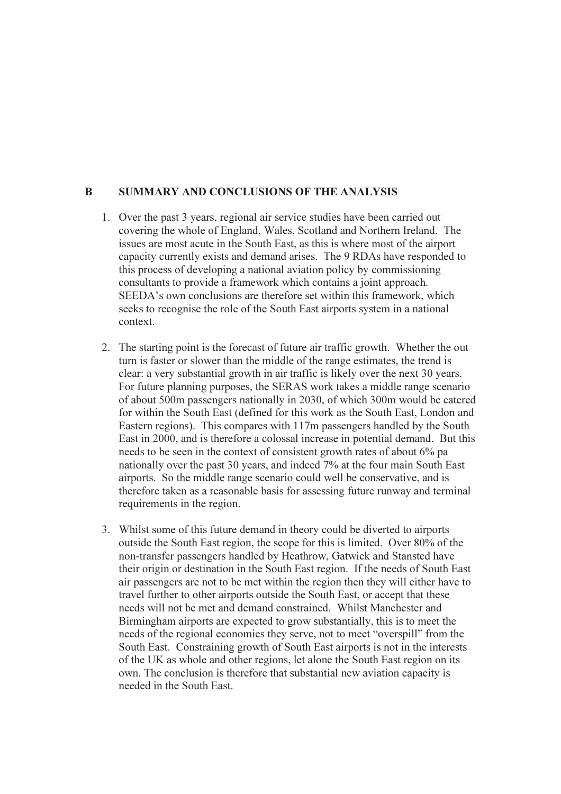## B SUMMARY AND CONCLUSIONS OF THE ANALYSIS

- 1. Over the past 3 years, regional air service studies have been carried out covering the whole of England, Wales, Scotland and Northern Ireland. The issues are most acute in the South East, as this is where most of the airport capacity currently exists and demand arises. The 9 RDAs have responded to this process of developing a national aviation policy by commissioning consultants to provide a framework which contains a joint approach. SEEDA's own conclusions are therefore set within this framework, which seeks to recognise the role of the South East airports system in a national context.
- 2. The starting point is the forecast of future air traffic growth. Whether the out turn is faster or slower than the middle of the range estimates, the trend is clear: a very substantial growth in air traffic is likely over the next 30 years. For future planning purposes, the SERAS work takes a middle range scenario of about 500m passengers nationally in 2030, of which 300m would be catered for within the South East (defined for this work as the South East, London and Eastern regions). This compares with 117m passengers handled by the South East in 2000, and is therefore a colossal increase in potential demand. But this needs to be seen in the context of consistent growth rates of about 6% pa nationally over the past 30 years, and indeed 7% at the four main South East airports. So the middle range scenario could well be conservative, and is therefore taken as a reasonable basis for assessing future runway and terminal requirements in the region.
- 3. Whilst some of this future demand in theory could be diverted to airports outside the South East region, the scope for this is limited. Over 80% of the non-transfer passengers handled by Heathrow, Gatwick and Stansted have their origin or destination in the South East region. If the needs of South East air passengers are not to be met within the region then they will either have to travel further to other airports outside the South East, or accept that these needs will not be met and demand constrained. Whilst Manchester and Birmingham airports are expected to grow substantially, this is to meet the needs of the regional economies they serve, not to meet "overspill" from the South East. Constraining growth of South East airports is not in the interests of the UK as whole and other regions, let alone the South East region on its own. The conclusion is therefore that substantial new aviation capacity is needed in the South East.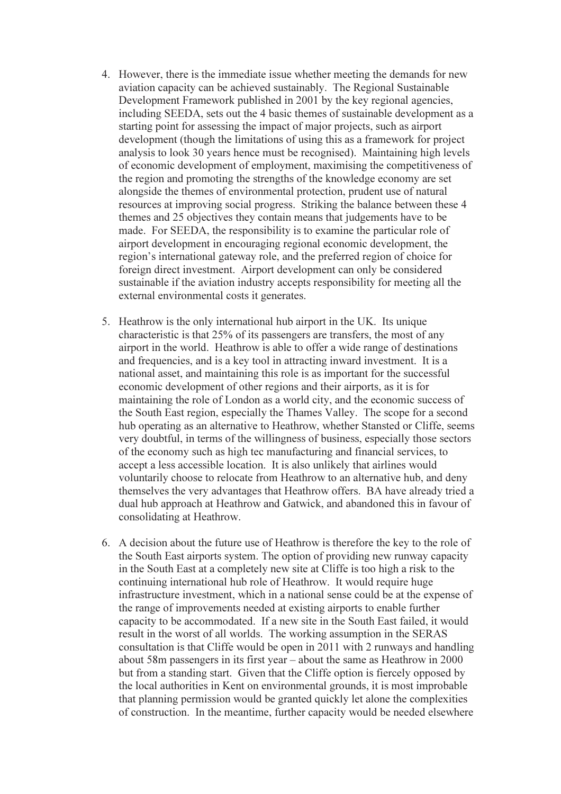- 4. However, there is the immediate issue whether meeting the demands for new aviation capacity can be achieved sustainably. The Regional Sustainable Development Framework published in 2001 by the key regional agencies, including SEEDA, sets out the 4 basic themes of sustainable development as a starting point for assessing the impact of major projects, such as airport development (though the limitations of using this as a framework for project analysis to look 30 years hence must be recognised). Maintaining high levels of economic development of employment, maximising the competitiveness of the region and promoting the strengths of the knowledge economy are set alongside the themes of environmental protection, prudent use of natural resources at improving social progress. Striking the balance between these 4 themes and 25 objectives they contain means that judgements have to be made. For SEEDA, the responsibility is to examine the particular role of airport development in encouraging regional economic development, the region's international gateway role, and the preferred region of choice for foreign direct investment. Airport development can only be considered sustainable if the aviation industry accepts responsibility for meeting all the external environmental costs it generates.
- 5. Heathrow is the only international hub airport in the UK. Its unique characteristic is that 25% of its passengers are transfers, the most of any airport in the world. Heathrow is able to offer a wide range of destinations and frequencies, and is a key tool in attracting inward investment. It is a national asset, and maintaining this role is as important for the successful economic development of other regions and their airports, as it is for maintaining the role of London as a world city, and the economic success of the South East region, especially the Thames Valley. The scope for a second hub operating as an alternative to Heathrow, whether Stansted or Cliffe, seems very doubtful, in terms of the willingness of business, especially those sectors of the economy such as high tec manufacturing and financial services, to accept a less accessible location. It is also unlikely that airlines would voluntarily choose to relocate from Heathrow to an alternative hub, and deny themselves the very advantages that Heathrow offers. BA have already tried a dual hub approach at Heathrow and Gatwick, and abandoned this in favour of consolidating at Heathrow.
- 6. A decision about the future use of Heathrow is therefore the key to the role of the South East airports system. The option of providing new runway capacity in the South East at a completely new site at Cliffe is too high a risk to the continuing international hub role of Heathrow. It would require huge infrastructure investment, which in a national sense could be at the expense of the range of improvements needed at existing airports to enable further capacity to be accommodated. If a new site in the South East failed, it would result in the worst of all worlds. The working assumption in the SERAS consultation is that Cliffe would be open in 2011 with 2 runways and handling about 58m passengers in its first year – about the same as Heathrow in 2000 but from a standing start. Given that the Cliffe option is fiercely opposed by the local authorities in Kent on environmental grounds, it is most improbable that planning permission would be granted quickly let alone the complexities of construction. In the meantime, further capacity would be needed elsewhere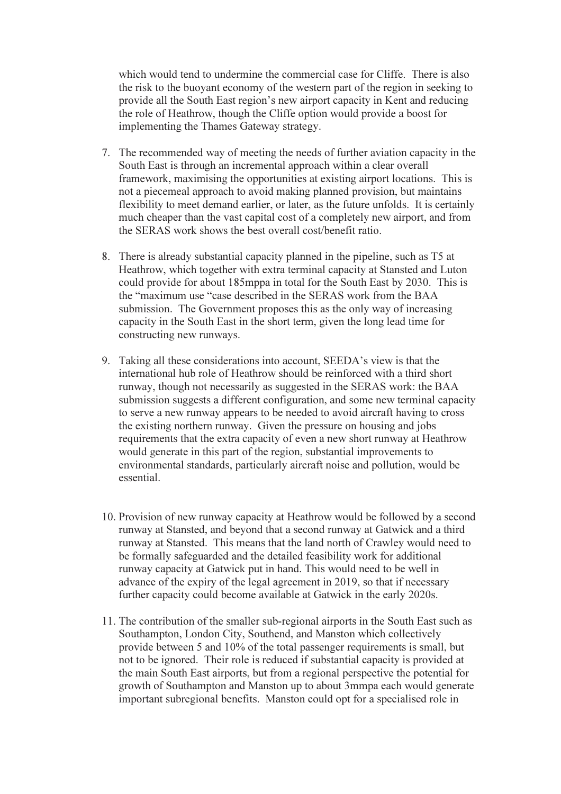which would tend to undermine the commercial case for Cliffe. There is also the risk to the buoyant economy of the western part of the region in seeking to provide all the South East region's new airport capacity in Kent and reducing the role of Heathrow, though the Cliffe option would provide a boost for implementing the Thames Gateway strategy.

- 7. The recommended way of meeting the needs of further aviation capacity in the South East is through an incremental approach within a clear overall framework, maximising the opportunities at existing airport locations. This is not a piecemeal approach to avoid making planned provision, but maintains flexibility to meet demand earlier, or later, as the future unfolds. It is certainly much cheaper than the vast capital cost of a completely new airport, and from the SERAS work shows the best overall cost/benefit ratio.
- 8. There is already substantial capacity planned in the pipeline, such as T5 at Heathrow, which together with extra terminal capacity at Stansted and Luton could provide for about 185mppa in total for the South East by 2030. This is the "maximum use "case described in the SERAS work from the BAA submission. The Government proposes this as the only way of increasing capacity in the South East in the short term, given the long lead time for constructing new runways.
- 9. Taking all these considerations into account, SEEDA's view is that the international hub role of Heathrow should be reinforced with a third short runway, though not necessarily as suggested in the SERAS work: the BAA submission suggests a different configuration, and some new terminal capacity to serve a new runway appears to be needed to avoid aircraft having to cross the existing northern runway. Given the pressure on housing and jobs requirements that the extra capacity of even a new short runway at Heathrow would generate in this part of the region, substantial improvements to environmental standards, particularly aircraft noise and pollution, would be essential.
- 10. Provision of new runway capacity at Heathrow would be followed by a second runway at Stansted, and beyond that a second runway at Gatwick and a third runway at Stansted. This means that the land north of Crawley would need to be formally safeguarded and the detailed feasibility work for additional runway capacity at Gatwick put in hand. This would need to be well in advance of the expiry of the legal agreement in 2019, so that if necessary further capacity could become available at Gatwick in the early 2020s.
- 11. The contribution of the smaller sub-regional airports in the South East such as Southampton, London City, Southend, and Manston which collectively provide between 5 and 10% of the total passenger requirements is small, but not to be ignored. Their role is reduced if substantial capacity is provided at the main South East airports, but from a regional perspective the potential for growth of Southampton and Manston up to about 3mmpa each would generate important subregional benefits. Manston could opt for a specialised role in